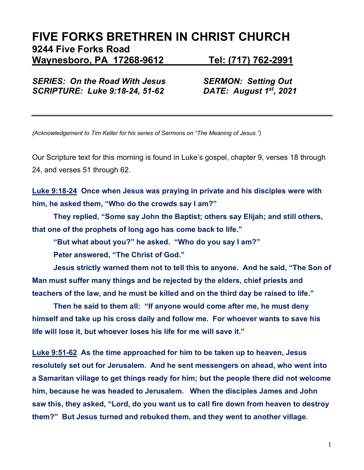# **FIVE FORKS BRETHREN IN CHRIST CHURCH 9244 Five Forks Road Waynesboro, PA 17268-9612 Tel: (717) 762-2991**

*SERIES: On the Road With Jesus SERMON: Setting Out SCRIPTURE: Luke 9:18-24, 51-62 DATE: August 1st, 2021* 

*(Acknowledgement to Tim Keller for his series of Sermons on "The Meaning of Jesus.")*

Our Scripture text for this morning is found in Luke's gospel, chapter 9, verses 18 through 24, and verses 51 through 62.

**Luke 9:18-24 Once when Jesus was praying in private and his disciples were with him, he asked them, "Who do the crowds say I am?"** 

**They replied, "Some say John the Baptist; others say Elijah; and still others, that one of the prophets of long ago has come back to life."**

**"But what about you?" he asked. "Who do you say I am?"** 

**Peter answered, "The Christ of God."** 

**Jesus strictly warned them not to tell this to anyone. And he said, "The Son of Man must suffer many things and be rejected by the elders, chief priests and teachers of the law, and he must be killed and on the third day be raised to life."**

**Then he said to them all: "If anyone would come after me, he must deny himself and take up his cross daily and follow me. For whoever wants to save his life will lose it, but whoever loses his life for me will save it."**

**Luke 9:51-62 As the time approached for him to be taken up to heaven, Jesus resolutely set out for Jerusalem. And he sent messengers on ahead, who went into a Samaritan village to get things ready for him; but the people there did not welcome him, because he was headed to Jerusalem. When the disciples James and John saw this, they asked, "Lord, do you want us to call fire down from heaven to destroy them?" But Jesus turned and rebuked them, and they went to another village.**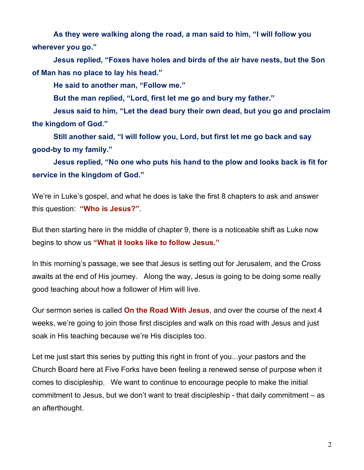**As they were walking along the road, a man said to him, "I will follow you wherever you go."**

**Jesus replied, "Foxes have holes and birds of the air have nests, but the Son of Man has no place to lay his head."**

**He said to another man, "Follow me."**

**But the man replied, "Lord, first let me go and bury my father."**

**Jesus said to him, "Let the dead bury their own dead, but you go and proclaim the kingdom of God."**

**Still another said, "I will follow you, Lord, but first let me go back and say good-by to my family."**

**Jesus replied, "No one who puts his hand to the plow and looks back is fit for service in the kingdom of God."**

We're in Luke's gospel, and what he does is take the first 8 chapters to ask and answer this question: **"Who is Jesus?"**.

But then starting here in the middle of chapter 9, there is a noticeable shift as Luke now begins to show us **"What it looks like to follow Jesus."** 

In this morning's passage, we see that Jesus is setting out for Jerusalem, and the Cross awaits at the end of His journey. Along the way, Jesus is going to be doing some really good teaching about how a follower of Him will live.

Our sermon series is called **On the Road With Jesus**, and over the course of the next 4 weeks, we're going to join those first disciples and walk on this road with Jesus and just soak in His teaching because we're His disciples too.

Let me just start this series by putting this right in front of you...your pastors and the Church Board here at Five Forks have been feeling a renewed sense of purpose when it comes to discipleship. We want to continue to encourage people to make the initial commitment to Jesus, but we don't want to treat discipleship - that daily commitment – as an afterthought.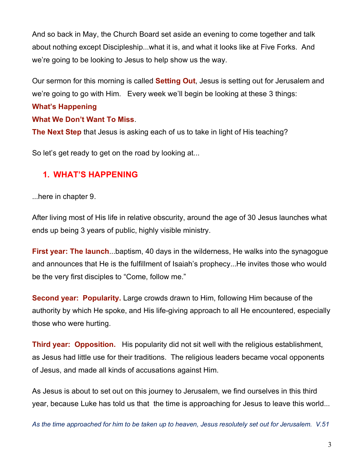And so back in May, the Church Board set aside an evening to come together and talk about nothing except Discipleship...what it is, and what it looks like at Five Forks. And we're going to be looking to Jesus to help show us the way.

Our sermon for this morning is called **Setting Out**, Jesus is setting out for Jerusalem and we're going to go with Him. Every week we'll begin be looking at these 3 things:

#### **What's Happening**

#### **What We Don't Want To Miss**.

**The Next Step** that Jesus is asking each of us to take in light of His teaching?

So let's get ready to get on the road by looking at...

### **1. WHAT'S HAPPENING**

...here in chapter 9.

After living most of His life in relative obscurity, around the age of 30 Jesus launches what ends up being 3 years of public, highly visible ministry.

**First year: The launch...**baptism, 40 days in the wilderness, He walks into the synagogue and announces that He is the fulfillment of Isaiah's prophecy...He invites those who would be the very first disciples to "Come, follow me."

**Second year: Popularity.** Large crowds drawn to Him, following Him because of the authority by which He spoke, and His life-giving approach to all He encountered, especially those who were hurting.

**Third year: Opposition.** His popularity did not sit well with the religious establishment, as Jesus had little use for their traditions. The religious leaders became vocal opponents of Jesus, and made all kinds of accusations against Him.

As Jesus is about to set out on this journey to Jerusalem, we find ourselves in this third year, because Luke has told us that the time is approaching for Jesus to leave this world...

*As the time approached for him to be taken up to heaven, Jesus resolutely set out for Jerusalem. V.51*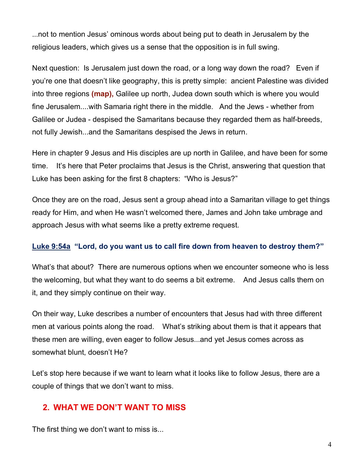...not to mention Jesus' ominous words about being put to death in Jerusalem by the religious leaders, which gives us a sense that the opposition is in full swing.

Next question: Is Jerusalem just down the road, or a long way down the road? Even if you're one that doesn't like geography, this is pretty simple: ancient Palestine was divided into three regions **(map),** Galilee up north, Judea down south which is where you would fine Jerusalem....with Samaria right there in the middle. And the Jews - whether from Galilee or Judea - despised the Samaritans because they regarded them as half-breeds, not fully Jewish...and the Samaritans despised the Jews in return.

Here in chapter 9 Jesus and His disciples are up north in Galilee, and have been for some time. It's here that Peter proclaims that Jesus is the Christ, answering that question that Luke has been asking for the first 8 chapters: "Who is Jesus?"

Once they are on the road, Jesus sent a group ahead into a Samaritan village to get things ready for Him, and when He wasn't welcomed there, James and John take umbrage and approach Jesus with what seems like a pretty extreme request.

### **Luke 9:54a "Lord, do you want us to call fire down from heaven to destroy them?"**

What's that about? There are numerous options when we encounter someone who is less the welcoming, but what they want to do seems a bit extreme. And Jesus calls them on it, and they simply continue on their way.

On their way, Luke describes a number of encounters that Jesus had with three different men at various points along the road. What's striking about them is that it appears that these men are willing, even eager to follow Jesus...and yet Jesus comes across as somewhat blunt, doesn't He?

Let's stop here because if we want to learn what it looks like to follow Jesus, there are a couple of things that we don't want to miss.

### **2. WHAT WE DON'T WANT TO MISS**

The first thing we don't want to miss is...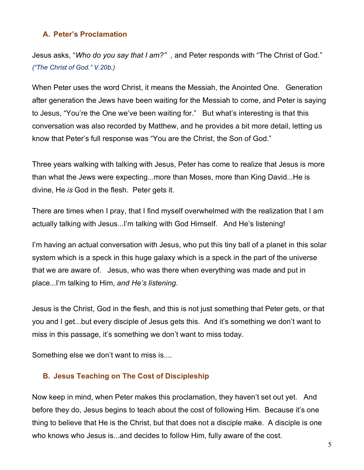#### **A. Peter's Proclamation**

Jesus asks, "*Who do you say that I am?"* , and Peter responds with "The Christ of God." *("The Christ of God." V.20b.)*

When Peter uses the word Christ, it means the Messiah, the Anointed One. Generation after generation the Jews have been waiting for the Messiah to come, and Peter is saying to Jesus, "You're the One we've been waiting for." But what's interesting is that this conversation was also recorded by Matthew, and he provides a bit more detail, letting us know that Peter's full response was "You are the Christ, the Son of God."

Three years walking with talking with Jesus, Peter has come to realize that Jesus is more than what the Jews were expecting...more than Moses, more than King David...He is divine, He *is* God in the flesh. Peter gets it.

There are times when I pray, that I find myself overwhelmed with the realization that I am actually talking with Jesus...I'm talking with God Himself. And He's listening!

I'm having an actual conversation with Jesus, who put this tiny ball of a planet in this solar system which is a speck in this huge galaxy which is a speck in the part of the universe that we are aware of. Jesus, who was there when everything was made and put in place...I'm talking to Him, *and He's listening*.

Jesus is the Christ, God in the flesh, and this is not just something that Peter gets, or that you and I get...but every disciple of Jesus gets this. And it's something we don't want to miss in this passage, it's something we don't want to miss today.

Something else we don't want to miss is....

#### **B. Jesus Teaching on The Cost of Discipleship**

Now keep in mind, when Peter makes this proclamation, they haven't set out yet. And before they do, Jesus begins to teach about the cost of following Him. Because it's one thing to believe that He is the Christ, but that does not a disciple make. A disciple is one who knows who Jesus is...and decides to follow Him, fully aware of the cost.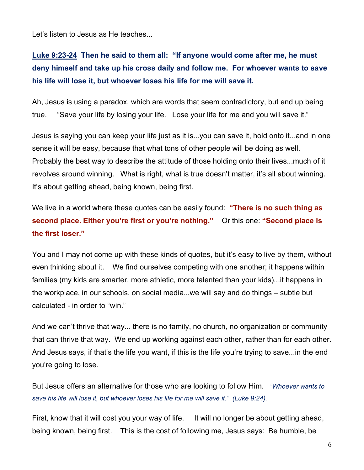Let's listen to Jesus as He teaches...

# **Luke 9:23-24 Then he said to them all: "If anyone would come after me, he must deny himself and take up his cross daily and follow me. For whoever wants to save his life will lose it, but whoever loses his life for me will save it.**

Ah, Jesus is using a paradox, which are words that seem contradictory, but end up being true. "Save your life by losing your life. Lose your life for me and you will save it."

Jesus is saying you can keep your life just as it is...you can save it, hold onto it...and in one sense it will be easy, because that what tons of other people will be doing as well. Probably the best way to describe the attitude of those holding onto their lives...much of it revolves around winning. What is right, what is true doesn't matter, it's all about winning. It's about getting ahead, being known, being first.

We live in a world where these quotes can be easily found: **"There is no such thing as second place. Either you're first or you're nothing."** Or this one: **"Second place is the first loser."** 

You and I may not come up with these kinds of quotes, but it's easy to live by them, without even thinking about it. We find ourselves competing with one another; it happens within families (my kids are smarter, more athletic, more talented than your kids)...it happens in the workplace, in our schools, on social media...we will say and do things – subtle but calculated - in order to "win."

And we can't thrive that way... there is no family, no church, no organization or community that can thrive that way. We end up working against each other, rather than for each other. And Jesus says, if that's the life you want, if this is the life you're trying to save...in the end you're going to lose.

But Jesus offers an alternative for those who are looking to follow Him. *"Whoever wants to save his life will lose it, but whoever loses his life for me will save it." (Luke 9:24).*

First, know that it will cost you your way of life. It will no longer be about getting ahead, being known, being first. This is the cost of following me, Jesus says: Be humble, be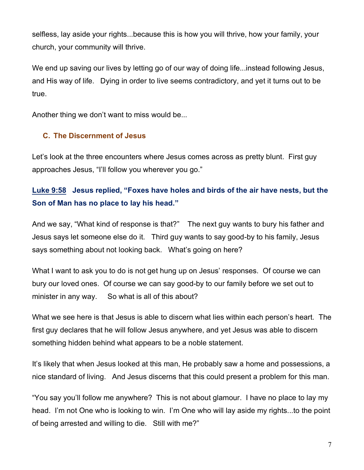selfless, lay aside your rights...because this is how you will thrive, how your family, your church, your community will thrive.

We end up saving our lives by letting go of our way of doing life...instead following Jesus, and His way of life. Dying in order to live seems contradictory, and yet it turns out to be true.

Another thing we don't want to miss would be...

#### **C. The Discernment of Jesus**

Let's look at the three encounters where Jesus comes across as pretty blunt. First guy approaches Jesus, "I'll follow you wherever you go."

## **Luke 9:58 Jesus replied, "Foxes have holes and birds of the air have nests, but the Son of Man has no place to lay his head."**

And we say, "What kind of response is that?" The next guy wants to bury his father and Jesus says let someone else do it. Third guy wants to say good-by to his family, Jesus says something about not looking back. What's going on here?

What I want to ask you to do is not get hung up on Jesus' responses. Of course we can bury our loved ones. Of course we can say good-by to our family before we set out to minister in any way. So what is all of this about?

What we see here is that Jesus is able to discern what lies within each person's heart. The first guy declares that he will follow Jesus anywhere, and yet Jesus was able to discern something hidden behind what appears to be a noble statement.

It's likely that when Jesus looked at this man, He probably saw a home and possessions, a nice standard of living. And Jesus discerns that this could present a problem for this man.

"You say you'll follow me anywhere? This is not about glamour. I have no place to lay my head. I'm not One who is looking to win. I'm One who will lay aside my rights...to the point of being arrested and willing to die. Still with me?"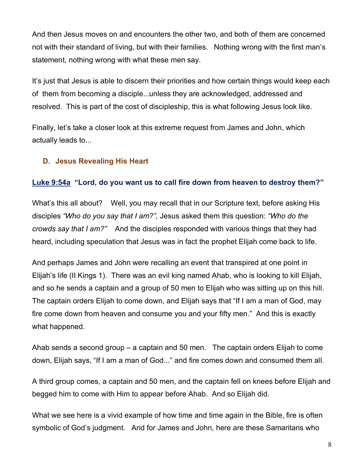And then Jesus moves on and encounters the other two, and both of them are concerned not with their standard of living, but with their families. Nothing wrong with the first man's statement, nothing wrong with what these men say.

It's just that Jesus is able to discern their priorities and how certain things would keep each of them from becoming a disciple...unless they are acknowledged, addressed and resolved. This is part of the cost of discipleship, this is what following Jesus look like.

Finally, let's take a closer look at this extreme request from James and John, which actually leads to...

#### **D. Jesus Revealing His Heart**

#### **Luke 9:54a "Lord, do you want us to call fire down from heaven to destroy them?"**

What's this all about? Well, you may recall that in our Scripture text, before asking His disciples *"Who do you say that I am?",* Jesus asked them this question: *"Who do the crowds say that I am?"* And the disciples responded with various things that they had heard, including speculation that Jesus was in fact the prophet Elijah come back to life.

And perhaps James and John were recalling an event that transpired at one point in Elijah's life (II Kings 1). There was an evil king named Ahab, who is looking to kill Elijah, and so he sends a captain and a group of 50 men to Elijah who was sitting up on this hill. The captain orders Elijah to come down, and Elijah says that "If I am a man of God, may fire come down from heaven and consume you and your fifty men." And this is exactly what happened.

Ahab sends a second group – a captain and 50 men. The captain orders Elijah to come down, Elijah says, "If I am a man of God..." and fire comes down and consumed them all.

A third group comes, a captain and 50 men, and the captain fell on knees before Elijah and begged him to come with Him to appear before Ahab. And so Elijah did.

What we see here is a vivid example of how time and time again in the Bible, fire is often symbolic of God's judgment. And for James and John, here are these Samaritans who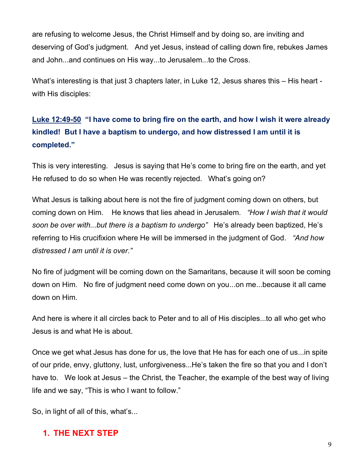are refusing to welcome Jesus, the Christ Himself and by doing so, are inviting and deserving of God's judgment. And yet Jesus, instead of calling down fire, rebukes James and John...and continues on His way...to Jerusalem...to the Cross.

What's interesting is that just 3 chapters later, in Luke 12, Jesus shares this – His heart with His disciples:

## **Luke 12:49-50 "I have come to bring fire on the earth, and how I wish it were already kindled! But I have a baptism to undergo, and how distressed I am until it is completed."**

This is very interesting. Jesus is saying that He's come to bring fire on the earth, and yet He refused to do so when He was recently rejected. What's going on?

What Jesus is talking about here is not the fire of judgment coming down on others, but coming down on Him. He knows that lies ahead in Jerusalem. *"How I wish that it would soon be over with...but there is a baptism to undergo"* He's already been baptized, He's referring to His crucifixion where He will be immersed in the judgment of God. *"And how distressed I am until it is over."*

No fire of judgment will be coming down on the Samaritans, because it will soon be coming down on Him. No fire of judgment need come down on you...on me...because it all came down on Him.

And here is where it all circles back to Peter and to all of His disciples...to all who get who Jesus is and what He is about.

Once we get what Jesus has done for us, the love that He has for each one of us...in spite of our pride, envy, gluttony, lust, unforgiveness...He's taken the fire so that you and I don't have to. We look at Jesus – the Christ, the Teacher, the example of the best way of living life and we say, "This is who I want to follow."

So, in light of all of this, what's...

### **1. THE NEXT STEP**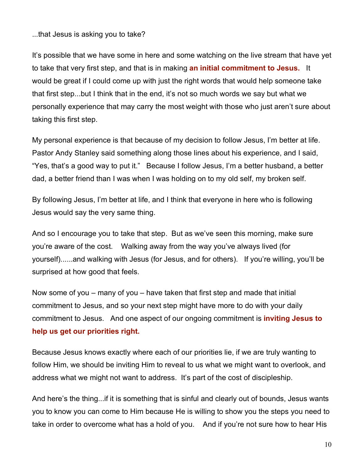...that Jesus is asking you to take?

It's possible that we have some in here and some watching on the live stream that have yet to take that very first step, and that is in making **an initial commitment to Jesus.** It would be great if I could come up with just the right words that would help someone take that first step...but I think that in the end, it's not so much words we say but what we personally experience that may carry the most weight with those who just aren't sure about taking this first step.

My personal experience is that because of my decision to follow Jesus, I'm better at life. Pastor Andy Stanley said something along those lines about his experience, and I said, "Yes, that's a good way to put it." Because I follow Jesus, I'm a better husband, a better dad, a better friend than I was when I was holding on to my old self, my broken self.

By following Jesus, I'm better at life, and I think that everyone in here who is following Jesus would say the very same thing.

And so I encourage you to take that step. But as we've seen this morning, make sure you're aware of the cost. Walking away from the way you've always lived (for yourself)......and walking with Jesus (for Jesus, and for others). If you're willing, you'll be surprised at how good that feels.

Now some of you – many of you – have taken that first step and made that initial commitment to Jesus, and so your next step might have more to do with your daily commitment to Jesus. And one aspect of our ongoing commitment is **inviting Jesus to help us get our priorities right.**

Because Jesus knows exactly where each of our priorities lie, if we are truly wanting to follow Him, we should be inviting Him to reveal to us what we might want to overlook, and address what we might not want to address. It's part of the cost of discipleship.

And here's the thing...if it is something that is sinful and clearly out of bounds, Jesus wants you to know you can come to Him because He is willing to show you the steps you need to take in order to overcome what has a hold of you. And if you're not sure how to hear His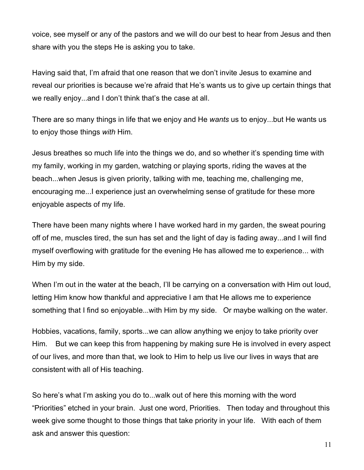voice, see myself or any of the pastors and we will do our best to hear from Jesus and then share with you the steps He is asking you to take.

Having said that, I'm afraid that one reason that we don't invite Jesus to examine and reveal our priorities is because we're afraid that He's wants us to give up certain things that we really enjoy...and I don't think that's the case at all.

There are so many things in life that we enjoy and He *wants* us to enjoy...but He wants us to enjoy those things *with* Him.

Jesus breathes so much life into the things we do, and so whether it's spending time with my family, working in my garden, watching or playing sports, riding the waves at the beach...when Jesus is given priority, talking with me, teaching me, challenging me, encouraging me...I experience just an overwhelming sense of gratitude for these more enjoyable aspects of my life.

There have been many nights where I have worked hard in my garden, the sweat pouring off of me, muscles tired, the sun has set and the light of day is fading away...and I will find myself overflowing with gratitude for the evening He has allowed me to experience... with Him by my side.

When I'm out in the water at the beach, I'll be carrying on a conversation with Him out loud, letting Him know how thankful and appreciative I am that He allows me to experience something that I find so enjoyable...with Him by my side. Or maybe walking on the water.

Hobbies, vacations, family, sports...we can allow anything we enjoy to take priority over Him. But we can keep this from happening by making sure He is involved in every aspect of our lives, and more than that, we look to Him to help us live our lives in ways that are consistent with all of His teaching.

So here's what I'm asking you do to...walk out of here this morning with the word "Priorities" etched in your brain. Just one word, Priorities. Then today and throughout this week give some thought to those things that take priority in your life. With each of them ask and answer this question: